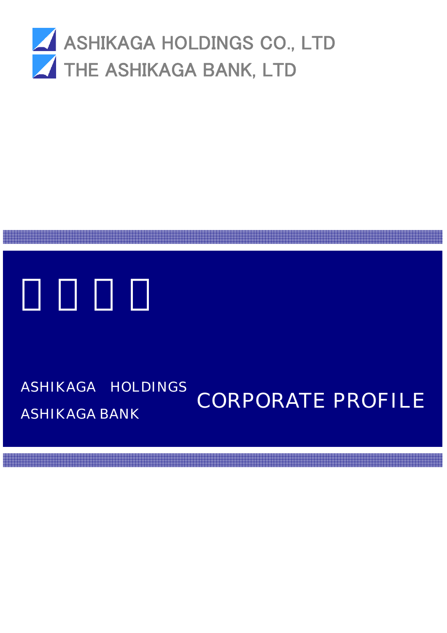

# ASHIKAGA HOLDINGS ASHIKAGA BANK CORPORATE PROFILE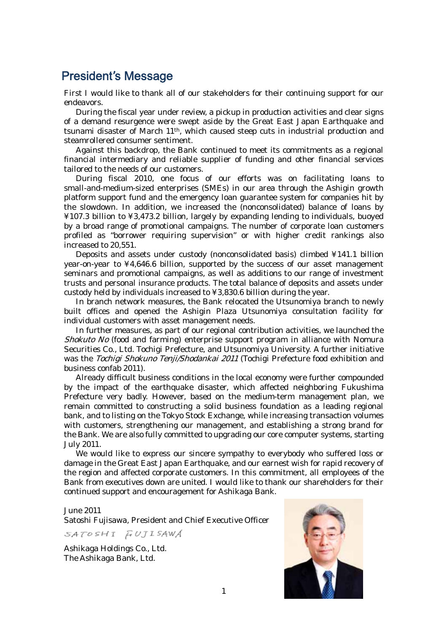# President's Message

First I would like to thank all of our stakeholders for their continuing support for our endeavors.

During the fiscal year under review, a pickup in production activities and clear signs of a demand resurgence were swept aside by the Great East Japan Earthquake and tsunami disaster of March 11th, which caused steep cuts in industrial production and steamrollered consumer sentiment.

Against this backdrop, the Bank continued to meet its commitments as a regional financial intermediary and reliable supplier of funding and other financial services tailored to the needs of our customers.

During fiscal 2010, one focus of our efforts was on facilitating loans to small-and-medium-sized enterprises (SMEs) in our area through the Ashigin growth platform support fund and the emergency loan guarantee system for companies hit by the slowdown. In addition, we increased the (nonconsolidated) balance of loans by ¥107.3 billion to ¥3,473.2 billion, largely by expanding lending to individuals, buoyed by a broad range of promotional campaigns. The number of corporate loan customers profiled as "borrower requiring supervision" or with higher credit rankings also increased to 20,551.

Deposits and assets under custody (nonconsolidated basis) climbed ¥141.1 billion year-on-year to ¥4,646.6 billion, supported by the success of our asset management seminars and promotional campaigns, as well as additions to our range of investment trusts and personal insurance products. The total balance of deposits and assets under custody held by individuals increased to ¥3,830.6 billion during the year.

In branch network measures, the Bank relocated the Utsunomiya branch to newly built offices and opened the Ashigin Plaza Utsunomiya consultation facility for individual customers with asset management needs.

In further measures, as part of our regional contribution activities, we launched the Shokuto No (food and farming) enterprise support program in alliance with Nomura Securities Co., Ltd. Tochigi Prefecture, and Utsunomiya University. A further initiative was the Tochigi Shokuno Tenji/Shodankai 2011 (Tochigi Prefecture food exhibition and business confab 2011).

Already difficult business conditions in the local economy were further compounded by the impact of the earthquake disaster, which affected neighboring Fukushima Prefecture very badly. However, based on the medium-term management plan, we remain committed to constructing a solid business foundation as a leading regional bank, and to listing on the Tokyo Stock Exchange, while increasing transaction volumes with customers, strengthening our management, and establishing a strong brand for the Bank. We are also fully committed to upgrading our core computer systems, starting July 2011.

We would like to express our sincere sympathy to everybody who suffered loss or damage in the Great East Japan Earthquake, and our earnest wish for rapid recovery of the region and affected corporate customers. In this commitment, all employees of the Bank from executives down are united. I would like to thank our shareholders for their continued support and encouragement for Ashikaga Bank.

### June 2011

Satoshi Fujisawa, President and Chief Executive Officer

SATOSHI FUJISAWA

Ashikaga Holdings Co., Ltd. The Ashikaga Bank, Ltd.

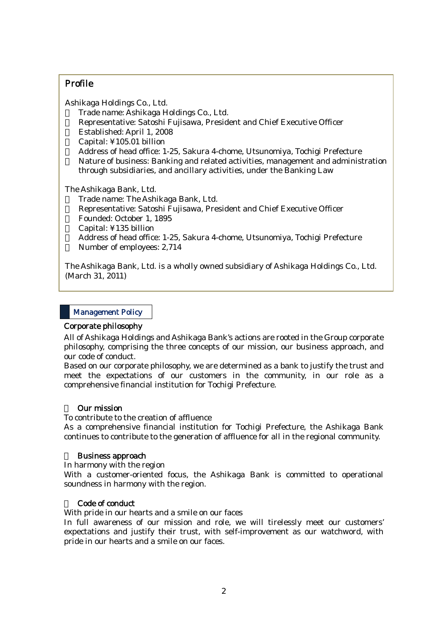# Profile

Ashikaga Holdings Co., Ltd. ・ Trade name: Ashikaga Holdings Co., Ltd. Representative: Satoshi Fujisawa, President and Chief Executive Officer ・ Established: April 1, 2008 Capital: ¥105.01 billion ・ Address of head office: 1-25, Sakura 4-chome, Utsunomiya, Tochigi Prefecture Nature of business: Banking and related activities, management and administration through subsidiaries, and ancillary activities, under the Banking Law

The Ashikaga Bank, Ltd. Trade name: The Ashikaga Bank, Ltd. Representative: Satoshi Fujisawa, President and Chief Executive Officer ・ Founded: October 1, 1895 Capital: ¥135 billion ・ Address of head office: 1-25, Sakura 4-chome, Utsunomiya, Tochigi Prefecture Number of employees: 2,714

 (March 31, 2011) The Ashikaga Bank, Ltd. is a wholly owned subsidiary of Ashikaga Holdings Co., Ltd.

### Management Policy

#### Corporate philosophy

All of Ashikaga Holdings and Ashikaga Bank's actions are rooted in the Group corporate philosophy, comprising the three concepts of our mission, our business approach, and our code of conduct.

Based on our corporate philosophy, we are determined as a bank to justify the trust and meet the expectations of our customers in the community, in our role as a comprehensive financial institution for Tochigi Prefecture.

### **Our mission**

To contribute to the creation of affluence

As a comprehensive financial institution for Tochigi Prefecture, the Ashikaga Bank continues to contribute to the generation of affluence for all in the regional community.

### **Business approach**

In harmony with the region

With a customer-oriented focus, the Ashikaga Bank is committed to operational soundness in harmony with the region.

### Code of conduct

With pride in our hearts and a smile on our faces

In full awareness of our mission and role, we will tirelessly meet our customers' expectations and justify their trust, with self-improvement as our watchword, with pride in our hearts and a smile on our faces.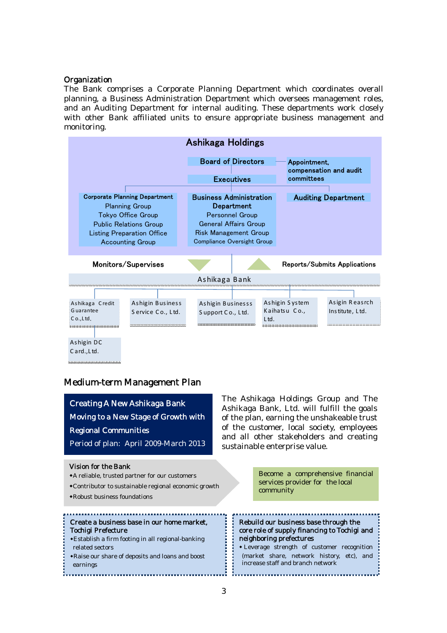### **Organization**

The Bank comprises a Corporate Planning Department which coordinates overall planning, a Business Administration Department which oversees management roles, and an Auditing Department for internal auditing. These departments work closely with other Bank affiliated units to ensure appropriate business management and monitoring.

| Ashikaga Holdings                                                                                                                                                                    |                                                |                                                                                                                                                                      |                                 |                                   |
|--------------------------------------------------------------------------------------------------------------------------------------------------------------------------------------|------------------------------------------------|----------------------------------------------------------------------------------------------------------------------------------------------------------------------|---------------------------------|-----------------------------------|
|                                                                                                                                                                                      | <b>Board of Directors</b><br><b>Executives</b> |                                                                                                                                                                      | Appointment,<br>committees      | compensation and audit            |
| <b>Corporate Planning Department</b><br><b>Planning Group</b><br>Tokyo Office Group<br><b>Public Relations Group</b><br><b>Listing Preparation Office</b><br><b>Accounting Group</b> |                                                | <b>Business Administration</b><br>Department<br><b>Personnel Group</b><br><b>General Affairs Group</b><br><b>Risk Management Group</b><br>Compliance Oversight Group |                                 | <b>Auditing Department</b>        |
| Monitors/Supervises<br>Reports/Submits Applications                                                                                                                                  |                                                |                                                                                                                                                                      |                                 |                                   |
|                                                                                                                                                                                      | Ashikaga Bank                                  |                                                                                                                                                                      |                                 |                                   |
| Ashigin Business<br>Ashikaga Credit<br>Guarantee<br>Service Co., Ltd.<br>$Co.$ , Ltd.<br>*************************************<br>Ashigin DC<br>Card., Ltd.                          | Ashigin Businesss<br>Support Co., Ltd.         | Ltd.                                                                                                                                                                 | Ashigin System<br>Kaihatsu Co., | Asigin Reasrch<br>Institute, Ltd. |

### Medium-term Management Plan

Period of plan: April 2009-March 2013  $\bullet$  Contributor to sustainable regional economic growth Creating A New Ashikaga Bank Moving to a New Stage of Growth with Regional Communities The Ashikaga Holdings Group and The Ashikaga Bank, Ltd. will fulfill the goals of the plan, earning the unshakeable trust of the customer, local society, employees and all other stakeholders and creating sustainable enterprise value. Vision for the Bank ◆A reliable, trusted partner for our customers ◆Robust business foundations Become a comprehensive financial services provider for the local community Rebuild our business base through the core role of supply financing to Tochigi and neighboring prefectures ◆ Leverage strength of customer recognition (market share, network history, etc), and increase staff and branch network Create a business base in our home market, Tochigi Prefecture ◆Establish a firm footing in all regional-banking related sectors ◆Raise our share of deposits and loans and boost earnings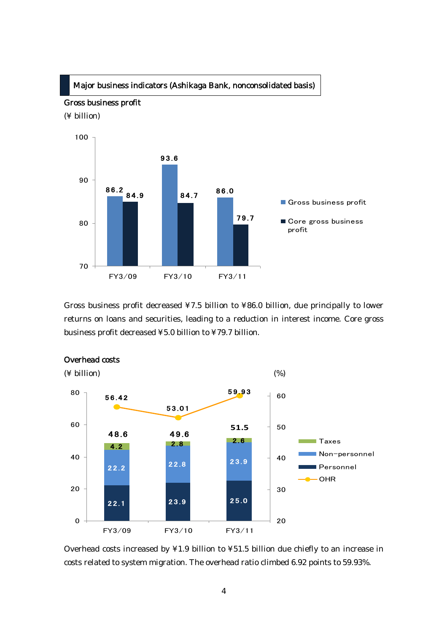### Major business indicators (Ashikaga Bank, nonconsolidated basis)



Gross business profit decreased ¥7.5 billion to ¥86.0 billion, due principally to lower returns on loans and securities, leading to a reduction in interest income. Core gross business profit decreased ¥5.0 billion to ¥79.7 billion.



### Overhead costs

Overhead costs increased by ¥1.9 billion to ¥51.5 billion due chiefly to an increase in costs related to system migration. The overhead ratio climbed 6.92 points to 59.93%.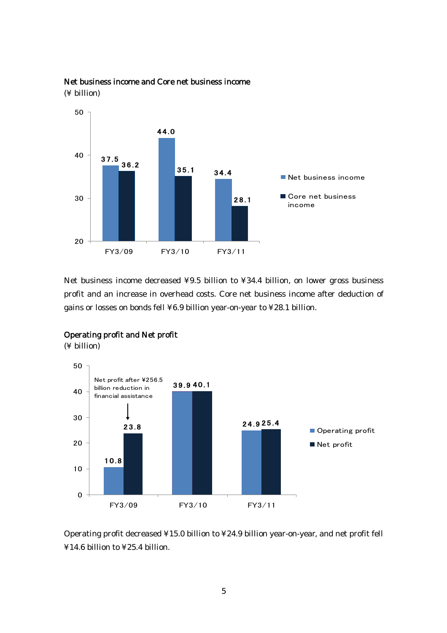

Net business income and Core net business income (¥ billion)

Net business income decreased ¥9.5 billion to ¥34.4 billion, on lower gross business profit and an increase in overhead costs. Core net business income after deduction of gains or losses on bonds fell ¥6.9 billion year-on-year to ¥28.1 billion.



### Operating profit and Net profit

(¥ billion)

Operating profit decreased ¥15.0 billion to ¥24.9 billion year-on-year, and net profit fell ¥14.6 billion to ¥25.4 billion.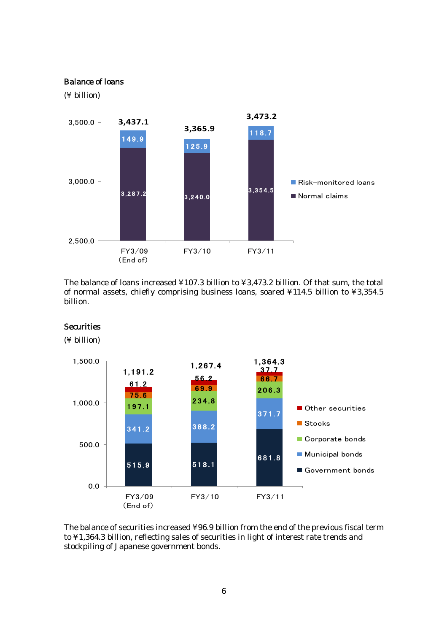### Balance of loans

(¥ billion)

**Securities** 



The balance of loans increased ¥107.3 billion to ¥3,473.2 billion. Of that sum, the total of normal assets, chiefly comprising business loans, soared ¥114.5 billion to ¥3,354.5 billion.



The balance of securities increased ¥96.9 billion from the end of the previous fiscal term to ¥1,364.3 billion, reflecting sales of securities in light of interest rate trends and stockpiling of Japanese government bonds.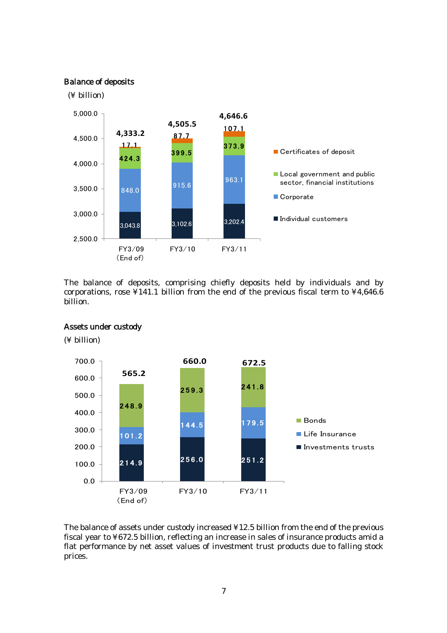### Balance of deposits



The balance of deposits, comprising chiefly deposits held by individuals and by corporations, rose  $\angle 141.1$  billion from the end of the previous fiscal term to  $\angle 4,646.6$ billion.



Assets under custody

(¥ billion)

The balance of assets under custody increased ¥12.5 billion from the end of the previous fiscal year to ¥672.5 billion, reflecting an increase in sales of insurance products amid a flat performance by net asset values of investment trust products due to falling stock prices.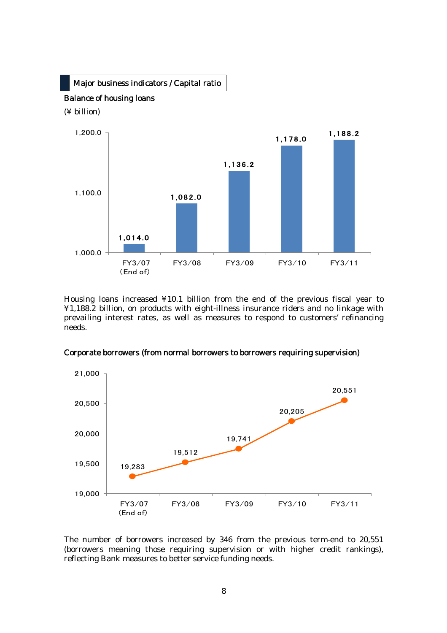

Housing loans increased ¥10.1 billion from the end of the previous fiscal year to ¥1,188.2 billion, on products with eight-illness insurance riders and no linkage with prevailing interest rates, as well as measures to respond to customers' refinancing needs.





The number of borrowers increased by 346 from the previous term-end to 20,551 (borrowers meaning those requiring supervision or with higher credit rankings), reflecting Bank measures to better service funding needs.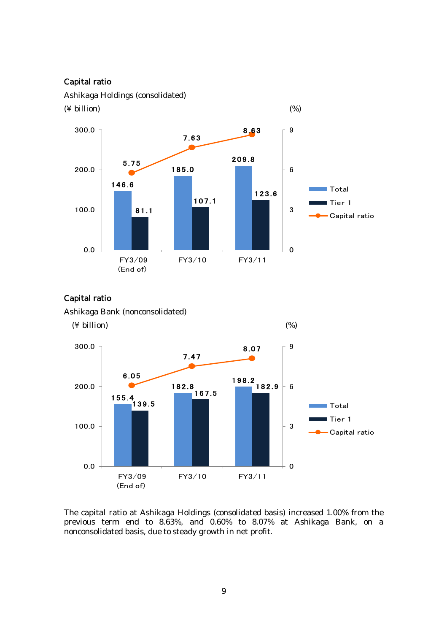### Capital ratio

Ashikaga Holdings (consolidated)



### Capital ratio



The capital ratio at Ashikaga Holdings (consolidated basis) increased 1.00% from the previous term end to 8.63%, and 0.60% to 8.07% at Ashikaga Bank, on a nonconsolidated basis, due to steady growth in net profit.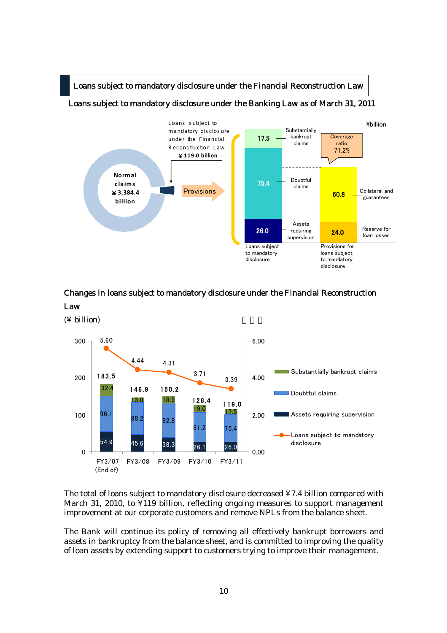

### Loans subject to mandatory disclosure under the Banking Law as of March 31, 2011



### Changes in loans subject to mandatory disclosure under the Financial Reconstruction Law

 $($ ¥ billion $)$ 



The total of loans subject to mandatory disclosure decreased ¥7.4 billion compared with March 31, 2010, to ¥119 billion, reflecting ongoing measures to support management improvement at our corporate customers and remove NPLs from the balance sheet.

The Bank will continue its policy of removing all effectively bankrupt borrowers and assets in bankruptcy from the balance sheet, and is committed to improving the quality of loan assets by extending support to customers trying to improve their management.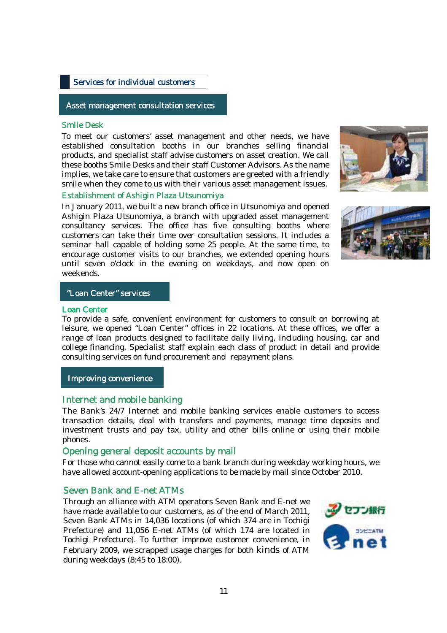### Services for individual customers

### Asset management consultation services

### Smile Desk

 To meet our customers' asset management and other needs, we have products, and specialist staff advise customers on asset creation. We call smile when they come to us with their various asset management issues. established consultation booths in our branches selling financial these booths Smile Desks and their staff Customer Advisors. As the name implies, we take care to ensure that customers are greeted with a friendly

### Establishment of Ashigin Plaza Utsunomiya

 In January 2011, we built a new branch office in Utsunomiya and opened customers can take their time over consultation sessions. It includes a encourage customer visits to our branches, we extended opening hours Ashigin Plaza Utsunomiya, a branch with upgraded asset management consultancy services. The office has five consulting booths where seminar hall capable of holding some 25 people. At the same time, to until seven o'clock in the evening on weekdays, and now open on weekends.





### "Loan Center" services

#### Loan Center

To provide a safe, convenient environment for customers to consult on borrowing at leisure, we opened "Loan Center" offices in 22 locations. At these offices, we offer a range of loan products designed to facilitate daily living, including housing, car and college financing. Specialist staff explain each class of product in detail and provide consulting services on fund procurement and repayment plans.

Improving convenience

### Internet and mobile banking

The Bank's 24/7 Internet and mobile banking services enable customers to access transaction details, deal with transfers and payments, manage time deposits and investment trusts and pay tax, utility and other bills online or using their mobile phones.

### Opening general deposit accounts by mail

For those who cannot easily come to a bank branch during weekday working hours, we have allowed account-opening applications to be made by mail since October 2010.

### Seven Bank and E-net ATMs

Through an alliance with ATM operators Seven Bank and E-net we have made available to our customers, as of the end of March 2011, Seven Bank ATMs in 14,036 locations (of which 374 are in Tochigi Prefecture) and 11,056 E-net ATMs (of which 174 are located in Tochigi Prefecture). To further improve customer convenience, in February 2009, we scrapped usage charges for both kinds of ATM during weekdays (8:45 to 18:00).

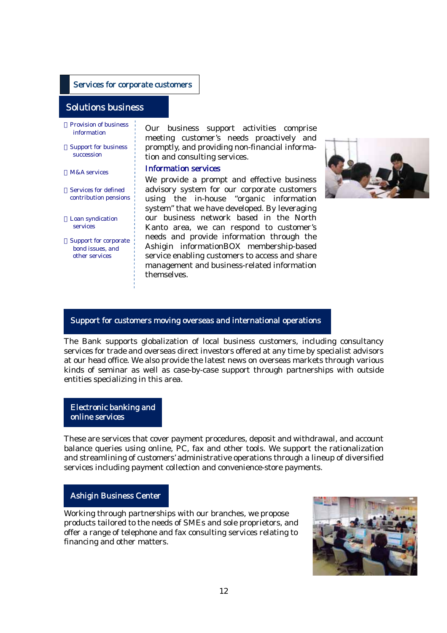#### Services for corporate customers

### Solutions business

Provision of business information

Support for business succession

 $M\Λ$  services

Services for defined contribution pensions

Loan syndication services

Support for corporate bond issues, and other services

L

Our business support activities comprise meeting customer's needs proactively and promptly, and providing non-financial information and consulting services.

#### Information services

We provide a prompt and effective business advisory system for our corporate customers using the in-house "organic information system" that we have developed. By leveraging our business network based in the North Kanto area, we can respond to customer's needs and provide information through the Ashigin informationBOX membership-based service enabling customers to access and share management and business-related information themselves.



### Support for customers moving overseas and international operations

The Bank supports globalization of local business customers, including consultancy services for trade and overseas direct investors offered at any time by specialist advisors at our head office. We also provide the latest news on overseas markets through various kinds of seminar as well as case-by-case support through partnerships with outside entities specializing in this area.

Electronic banking and online services

These are services that cover payment procedures, deposit and withdrawal, and account balance queries using online, PC, fax and other tools. We support the rationalization and streamlining of customers' administrative operations through a lineup of diversified services including payment collection and convenience-store payments.

### Ashigin Business Center

Working through partnerships with our branches, we propose products tailored to the needs of SMEs and sole proprietors, and offer a range of telephone and fax consulting services relating to financing and other matters.

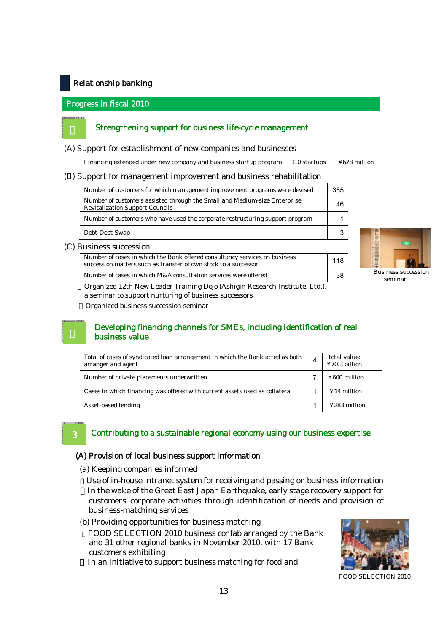### Relationship banking

### Progress in fiscal 2010

### Strengthening support for business life-cycle management

(A) Support for establishment of new companies and businesses

| Financing extended under new company and business startup program $\mid$ 110 startups | $\frac{1}{2}$ ¥628 million |
|---------------------------------------------------------------------------------------|----------------------------|

### (B) Support for management improvement and business rehabilitation

| Number of customers for which management improvement programs were devised                                                                    | 365 |
|-----------------------------------------------------------------------------------------------------------------------------------------------|-----|
| Number of customers assisted through the Small and Medium-size Enterprise<br><b>Revitalization Support Councils</b>                           | 46  |
| Number of customers who have used the corporate restructuring support program                                                                 |     |
| Debt-Debt-Swap                                                                                                                                |     |
| (C) Business succession                                                                                                                       |     |
| Number of cases in which the Bank offered consultancy services on business<br>succession matters such as transfer of own stock to a successor | 118 |

Number of cases in which M&A consultation services were offered 38



Organized 12th New Leader Training Dojo (Ashigin Research Institute, Ltd.), a seminar to support nurturing of business successors

Organized business succession seminar

### Developing financing channels for SMEs, including identification of real business value

| Total of cases of syndicated loan arrangement in which the Bank acted as both<br>arranger and agent | 4 | total value:<br>¥70.3 billion |
|-----------------------------------------------------------------------------------------------------|---|-------------------------------|
| Number of private placements underwritten                                                           |   | ¥600 million                  |
| Cases in which financing was offered with current assets used as collateral                         |   | $¥14$ million                 |
| Asset-based lending                                                                                 |   | ¥283 million                  |

### 3

l.

### Contributing to a sustainable regional economy using our business expertise

#### (A) Provision of local business support information

(a) Keeping companies informed

Use of in-house intranet system for receiving and passing on business information In the wake of the Great East Japan Earthquake, early stage recovery support for customers' corporate activities through identification of needs and provision of business-matching services

(b) Providing opportunities for business matching

FOOD SELECTION 2010 business confab arranged by the Bank and 31 other regional banks in November 2010, with 17 Bank customers exhibiting

In an initiative to support business matching for food and



FOOD SELECTION 2010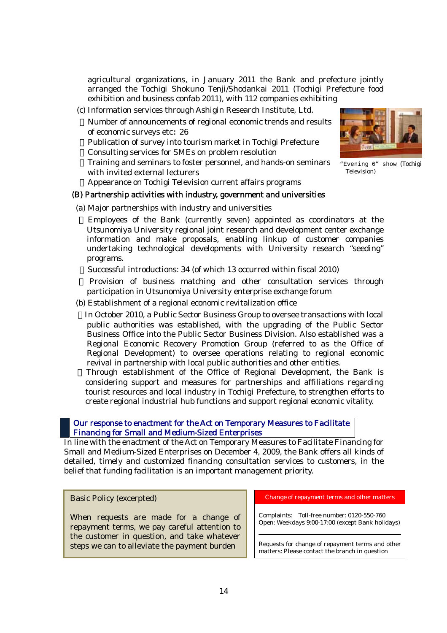agricultural organizations, in January 2011 the Bank and prefecture jointly arranged the Tochigi Shokuno Tenji/Shodankai 2011 (Tochigi Prefecture food exhibition and business confab 2011), with 112 companies exhibiting

 (c) Information services through Ashigin Research Institute, Ltd. Number of announcements of regional economic trends and results of economic surveys etc: 26 Publication of survey into tourism market in Tochigi Prefecture Consulting services for SMEs on problem resolution Training and seminars to foster personnel, and hands-on seminars with invited external lecturers

Appearance on Tochigi Television current affairs programs

### (B) Partnership activities with industry, government and universities

(a) Major partnerships with industry and universities

Employees of the Bank (currently seven) appointed as coordinators at the Utsunomiya University regional joint research and development center exchange information and make proposals, enabling linkup of customer companies undertaking technological developments with University research "seeding" programs.

Successful introductions: 34 (of which 13 occurred within fiscal 2010)

Provision of business matching and other consultation services through participation in Utsunomiya University enterprise exchange forum

(b) Establishment of a regional economic revitalization office

In October 2010, a Public Sector Business Group to oversee transactions with local public authorities was established, with the upgrading of the Public Sector Business Office into the Public Sector Business Division. Also established was a Regional Economic Recovery Promotion Group (referred to as the Office of Regional Development) to oversee operations relating to regional economic revival in partnership with local public authorities and other entities.

Through establishment of the Office of Regional Development, the Bank is considering support and measures for partnerships and affiliations regarding tourist resources and local industry in Tochigi Prefecture, to strengthen efforts to create regional industrial hub functions and support regional economic vitality.

 Our response to enactment for the Act on Temporary Measures to Facilitate Financing for Small and Medium-Sized Enterprises

In line with the enactment of the Act on Temporary Measures to Facilitate Financing for Small and Medium-Sized Enterprises on December 4, 2009, the Bank offers all kinds of detailed, timely and customized financing consultation services to customers, in the belief that funding facilitation is an important management priority.

### Basic Policy (excerpted)

When requests are made for a change of repayment terms, we pay careful attention to the customer in question, and take whatever steps we can to alleviate the payment burden

Change of repayment terms and other matters

Complaints: Toll-free number: 0120-550-760 Open: Weekdays 9:00-17:00 (except Bank holidays)

Requests for change of repayment terms and other matters: Please contact the branch in question



"Evening 6" show (Tochigi Television)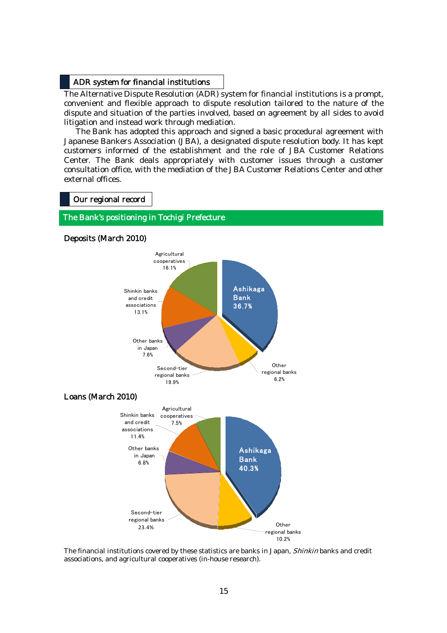### ADR system for financial institutions

The Alternative Dispute Resolution (ADR) system for financial institutions is a prompt, convenient and flexible approach to dispute resolution tailored to the nature of the dispute and situation of the parties involved, based on agreement by all sides to avoid litigation and instead work through mediation.

The Bank has adopted this approach and signed a basic procedural agreement with Japanese Bankers Association (JBA), a designated dispute resolution body. It has kept customers informed of the establishment and the role of JBA Customer Relations Center. The Bank deals appropriately with customer issues through a customer consultation office, with the mediation of the JBA Customer Relations Center and other external offices.

#### Our regional record

## The Bank's positioning in Tochigi Prefecture



Deposits (March 2010)

The financial institutions covered by these statistics are banks in Japan, *Shinkin* banks and credit associations, and agricultural cooperatives (in-house research).

regional banks 10.2%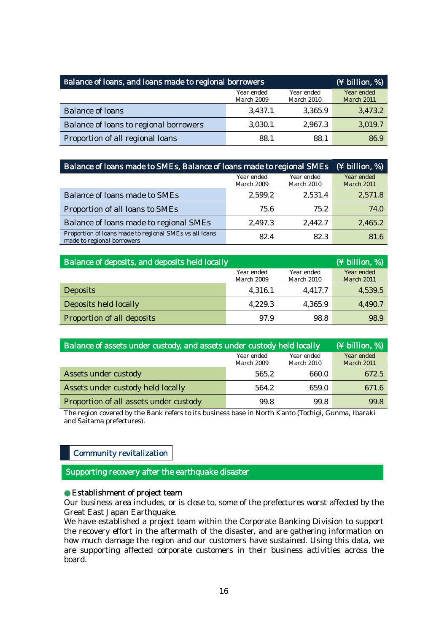| Balance of loans, and loans made to regional borrowers | (¥ billion, %)           |                          |                          |
|--------------------------------------------------------|--------------------------|--------------------------|--------------------------|
|                                                        | Year ended<br>March 2009 | Year ended<br>March 2010 | Year ended<br>March 2011 |
| <b>Balance of loans</b>                                | 3,437.1                  | 3,365.9                  | 3,473.2                  |
| Balance of loans to regional borrowers                 | 3,030.1                  | 2,967.3                  | 3,019.7                  |
| Proportion of all regional loans                       | 88.1                     | 88.1                     | 86.9                     |

| Balance of loans made to SMEs, Balance of loans made to regional SMEs                | $(\frac{1}{2}$ billion, %) |                          |                                 |
|--------------------------------------------------------------------------------------|----------------------------|--------------------------|---------------------------------|
|                                                                                      | Year ended<br>March 2009   | Year ended<br>March 2010 | Year ended<br><b>March 2011</b> |
| Balance of loans made to SMEs                                                        | 2,599.2                    | 2,531.4                  | 2,571.8                         |
| Proportion of all loans to SMEs                                                      | 75.6                       | 75.2                     | 74.0                            |
| Balance of loans made to regional SMEs                                               | 2,497.3                    | 2,442.7                  | 2,465.2                         |
| Proportion of loans made to regional SMEs vs all loans<br>made to regional borrowers | 82.4                       | 82.3                     | 81.6                            |

| Balance of deposits, and deposits held locally |                          |                          | (¥ billion, %)                  |
|------------------------------------------------|--------------------------|--------------------------|---------------------------------|
|                                                | Year ended<br>March 2009 | Year ended<br>March 2010 | Year ended<br><b>March 2011</b> |
| <b>Deposits</b>                                | 4,316.1                  | 4,417.7                  | 4,539.5                         |
| Deposits held locally                          | 4,229.3                  | 4,365.9                  | 4,490.7                         |
| Proportion of all deposits                     | 97.9                     | 98.8                     | 98.9                            |

| Balance of assets under custody, and assets under custody held locally |                          |                          | (¥ billion, %)                  |
|------------------------------------------------------------------------|--------------------------|--------------------------|---------------------------------|
|                                                                        | Year ended<br>March 2009 | Year ended<br>March 2010 | Year ended<br><b>March 2011</b> |
| Assets under custody                                                   | 565.2                    | 660.0                    | 672.5                           |
| Assets under custody held locally                                      | 564.2                    | 659.0                    | 671.6                           |
| Proportion of all assets under custody                                 | 99.8                     | 99.8                     | 99.8                            |

The region covered by the Bank refers to its business base in North Kanto (Tochigi, Gunma, Ibaraki and Saitama prefectures).

### Community revitalization

Supporting recovery after the earthquake disaster

### Establishment of project team

Our business area includes, or is close to, some of the prefectures worst affected by the Great East Japan Earthquake.

We have established a project team within the Corporate Banking Division to support the recovery effort in the aftermath of the disaster, and are gathering information on how much damage the region and our customers have sustained. Using this data, we are supporting affected corporate customers in their business activities across the board.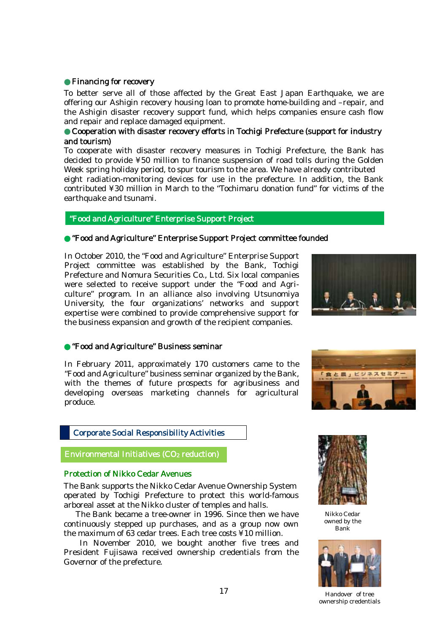### Financing for recovery

To better serve all of those affected by the Great East Japan Earthquake, we are offering our Ashigin recovery housing loan to promote home-building and –repair, and the Ashigin disaster recovery support fund, which helps companies ensure cash flow and repair and replace damaged equipment.

### Cooperation with disaster recovery efforts in Tochigi Prefecture (support for industry and tourism)

To cooperate with disaster recovery measures in Tochigi Prefecture, the Bank has decided to provide ¥50 million to finance suspension of road tolls during the Golden Week spring holiday period, to spur tourism to the area. We have already contributed eight radiation-monitoring devices for use in the prefecture. In addition, the Bank contributed ¥30 million in March to the "Tochimaru donation fund" for victims of the earthquake and tsunami.

### "Food and Agriculture" Enterprise Support Project

### ●"Food and Agriculture" Enterprise Support Project committee founded

 In October 2010, the "Food and Agriculture" Enterprise Support Project committee was established by the Bank, Tochigi Prefecture and Nomura Securities Co., Ltd. Six local companies culture" program. In an alliance also involving Utsunomiya University, the four organizations' networks and support the business expansion and growth of the recipient companies. were selected to receive support under the "Food and Agriexpertise were combined to provide comprehensive support for



#### ●"Food and Agriculture" Business seminar

In February 2011, approximately 170 customers came to the "Food and Agriculture" business seminar organized by the Bank, with the themes of future prospects for agribusiness and developing overseas marketing channels for agricultural produce.



### Corporate Social Responsibility Activities

Environmental Initiatives (CO2 reduction)

### Protection of Nikko Cedar Avenues

í

 The Bank supports the Nikko Cedar Avenue Ownership System arboreal asset at the Nikko cluster of temples and halls. operated by Tochigi Prefecture to protect this world-famous

 continuously stepped up purchases, and as a group now own The Bank became a tree-owner in 1996. Since then we have the maximum of 63 cedar trees. Each tree costs ¥10 million.

 President Fujisawa received ownership credentials from the In November 2010, we bought another five trees and Governor of the prefecture.



Nikko Cedar owned by the Bank



Handover of tree ownership credentials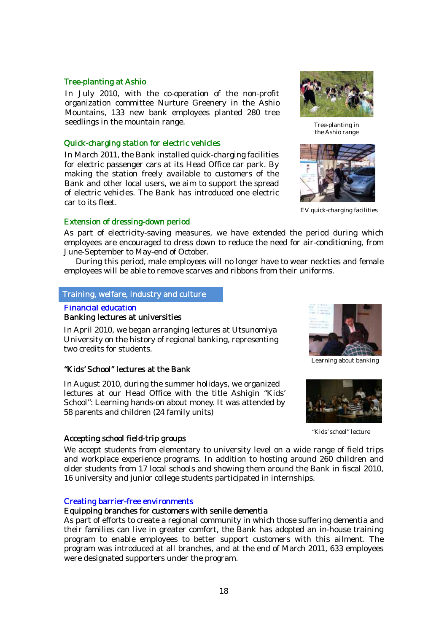### Tree-planting at Ashio

 In July 2010, with the co-operation of the non-profit Mountains, 133 new bank employees planted 280 tree seedlings in the mountain range. organization committee Nurture Greenery in the Ashio

### Quick-charging station for electric vehicles

In March 2011, the Bank installed quick-charging facilities for electric passenger cars at its Head Office car park. By making the station freely available to customers of the Bank and other local users, we aim to support the spread of electric vehicles. The Bank has introduced one electric car to its fleet.

### Extension of dressing-down period

As part of electricity-saving measures, we have extended the period during which employees are encouraged to dress down to reduce the need for air-conditioning, from June-September to May-end of October.

During this period, male employees will no longer have to wear neckties and female employees will be able to remove scarves and ribbons from their uniforms.

### Training, welfare, industry and culture

### Financial education

### Banking lectures at universities

 In April 2010, we began arranging lectures at Utsunomiya University on the history of regional banking, representing two credits for students.

### "Kids' School" lectures at the Bank

. School": Learning hands-on about money. It was attended by 58 parents and children (24 family units) In August 2010, during the summer holidays, we organized lectures at our Head Office with the title Ashigin "Kids'

### Accepting school field-trip groups

We accept students from elementary to university level on a wide range of field trips and workplace experience programs. In addition to hosting around 260 children and older students from 17 local schools and showing them around the Bank in fiscal 2010, 16 university and junior college students participated in internships.

#### Creating barrier-free environments

#### Equipping branches for customers with senile dementia

As part of efforts to create a regional community in which those suffering dementia and their families can live in greater comfort, the Bank has adopted an in-house training program to enable employees to better support customers with this ailment. The program was introduced at all branches, and at the end of March 2011, 633 employees were designated supporters under the program.



Tree-planting in the Ashio range



EV quick-charging facilities



Learning about banking



"Kids' school" lecture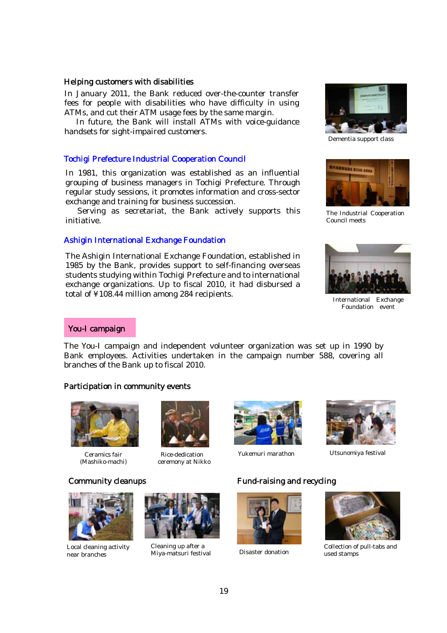#### Helping customers with disabilities

 In January 2011, the Bank reduced over-the-counter transfer ATMs, and cut their ATM usage fees by the same margin. fees for people with disabilities who have difficulty in using

 handsets for sight-impaired customers. In future, the Bank will install ATMs with voice-guidance

### Tochigi Prefecture Industrial Cooperation Council

In 1981, this organization was established as an influential grouping of business managers in Tochigi Prefecture. Through regular study sessions, it promotes information and cross-sector exchange and training for business succession.

 Serving as secretariat, the Bank actively supports this initiative.

#### Ashigin International Exchange Foundation

The Ashigin International Exchange Foundation, established in 1985 by the Bank, provides support to self-financing overseas students studying within Tochigi Prefecture and to international exchange organizations. Up to fiscal 2010, it had disbursed a total of ¥108.44 million among 284 recipients.



Dementia support class



The Industrial Cooperation Council meets



International Exchange Foundation event

#### You-I campaign

The You-I campaign and independent volunteer organization was set up in 1990 by Bank employees. Activities undertaken in the campaign number 588, covering all branches of the Bank up to fiscal 2010.

### Participation in community events



Ceramics fair (Mashiko-machi)

Rice-dedication ceremony at Nikko





Yukemuri marathon Utsunomiya festival



Local cleaning activity near branches



Cleaning up after a







Collection of pull-tabs and<br>Miya-matsuri festival Disaster donation and used stamps used stamps